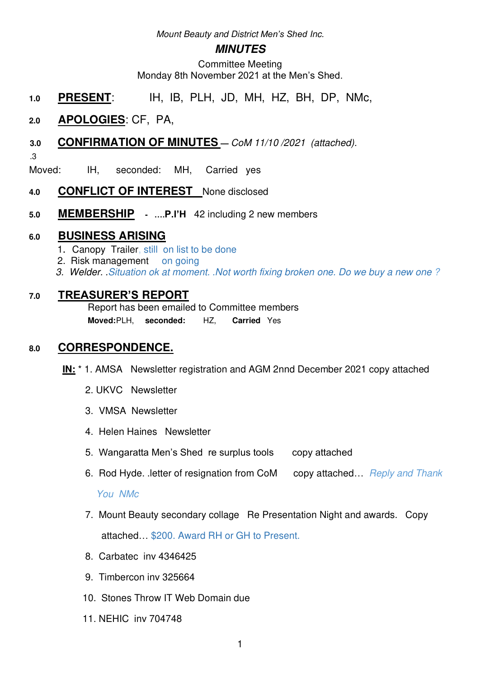Mount Beauty and District *Men's Shed* Inc.

### **MINUTES**

Committee Meeting Monday 8th November 2021 at the Men's Shed.

- **1.0 PRESENT**: IH, IB, PLH, JD, MH, HZ, BH, DP, NMc,
- **2.0 APOLOGIES**: CF, PA,

# **3.0 CONFIRMATION OF MINUTES —** CoM 11/10 /2021 (attached).

.3

Moved: IH, seconded: MH, Carried yes

- **4.0 CONFLICT OF INTEREST** None disclosed
- **5.0 MEMBERSHIP ….P.l'H** 42 including 2 new members

# **6.0 BUSINESS ARISING**

- 1. Canopy Trailer, still on list to be done
- 2. Risk management on going
- 3. Welder. .Situation ok at moment. .Not worth fixing broken one. Do we buy a new one ?

# **7.0 TREASURER'S REPORT**

Report has been emailed to Committee members **Moved:** PLH, **seconded:** HZ, **Carried** Yes

## **8.0 CORRESPONDENCE.**

- **IN:** \* 1. AMSA Newsletter registration and AGM 2nnd December 2021 copy attached
	- 2. UKVC Newsletter
	- 3. VMSA Newsletter
	- 4. Helen Haines Newsletter
	- 5. Wangaratta Men's Shed re surplus tools copy attached
	- 6. Rod Hyde. .letter of resignation from CoM copy attached... Reply and Thank

#### You NMc

- 7. Mount Beauty secondary collage Re Presentation Night and awards. Copy attached… \$200. Award RH or GH to Present.
- 8. Carbatec inv 4346425
- 9. Timbercon inv 325664
- 10. Stones Throw IT Web Domain due
- 11. NEHIC inv 704748